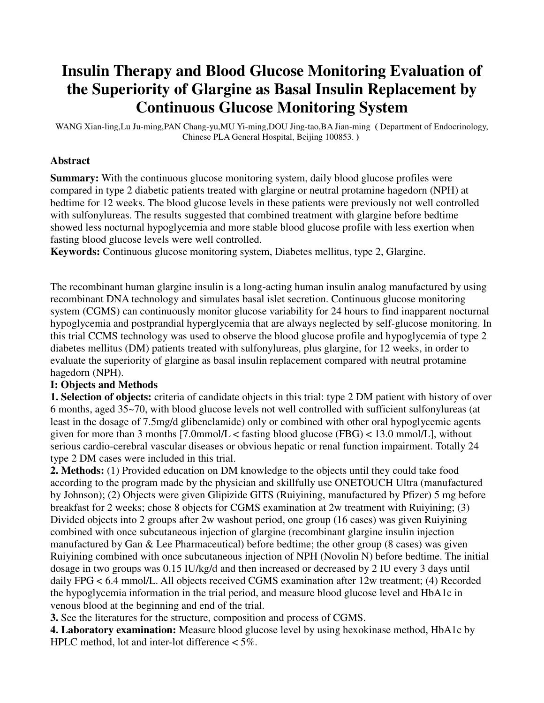### **Insulin Therapy and Blood Glucose Monitoring Evaluation of the Superiority of Glargine as Basal Insulin Replacement by Continuous Glucose Monitoring System**

WANG Xian-ling,Lu Ju-ming,PAN Chang-yu,MU Yi-ming,DOU Jing-tao,BA Jian-ming **(** Department of Endocrinology, Chinese PLA General Hospital, Beijing 100853. **)** 

#### **Abstract**

**Summary:** With the continuous glucose monitoring system, daily blood glucose profiles were compared in type 2 diabetic patients treated with glargine or neutral protamine hagedorn (NPH) at bedtime for 12 weeks. The blood glucose levels in these patients were previously not well controlled with sulfonylureas. The results suggested that combined treatment with glargine before bedtime showed less nocturnal hypoglycemia and more stable blood glucose profile with less exertion when fasting blood glucose levels were well controlled.

**Keywords:** Continuous glucose monitoring system, Diabetes mellitus, type 2, Glargine.

The recombinant human glargine insulin is a long-acting human insulin analog manufactured by using recombinant DNA technology and simulates basal islet secretion. Continuous glucose monitoring system (CGMS) can continuously monitor glucose variability for 24 hours to find inapparent nocturnal hypoglycemia and postprandial hyperglycemia that are always neglected by self-glucose monitoring. In this trial CCMS technology was used to observe the blood glucose profile and hypoglycemia of type 2 diabetes mellitus (DM) patients treated with sulfonylureas, plus glargine, for 12 weeks, in order to evaluate the superiority of glargine as basal insulin replacement compared with neutral protamine hagedorn (NPH).

### **I: Objects and Methods**

**1. Selection of objects:** criteria of candidate objects in this trial: type 2 DM patient with history of over 6 months, aged 35~70, with blood glucose levels not well controlled with sufficient sulfonylureas (at least in the dosage of 7.5mg/d glibenclamide) only or combined with other oral hypoglycemic agents given for more than 3 months  $[7.0$ mmol/L < fasting blood glucose  $(FBG)$  < 13.0 mmol/L], without serious cardio-cerebral vascular diseases or obvious hepatic or renal function impairment. Totally 24 type 2 DM cases were included in this trial.

**2. Methods:** (1) Provided education on DM knowledge to the objects until they could take food according to the program made by the physician and skillfully use ONETOUCH Ultra (manufactured by Johnson); (2) Objects were given Glipizide GITS (Ruiyining, manufactured by Pfizer) 5 mg before breakfast for 2 weeks; chose 8 objects for CGMS examination at 2w treatment with Ruiyining; (3) Divided objects into 2 groups after 2w washout period, one group (16 cases) was given Ruiyining combined with once subcutaneous injection of glargine (recombinant glargine insulin injection manufactured by Gan & Lee Pharmaceutical) before bedtime; the other group (8 cases) was given Ruiyining combined with once subcutaneous injection of NPH (Novolin N) before bedtime. The initial dosage in two groups was 0.15 IU/kg/d and then increased or decreased by 2 IU every 3 days until daily FPG < 6.4 mmol/L. All objects received CGMS examination after 12w treatment; (4) Recorded the hypoglycemia information in the trial period, and measure blood glucose level and HbA1c in venous blood at the beginning and end of the trial.

**3.** See the literatures for the structure, composition and process of CGMS.

**4. Laboratory examination:** Measure blood glucose level by using hexokinase method, HbA1c by HPLC method, lot and inter-lot difference  $\lt 5\%$ .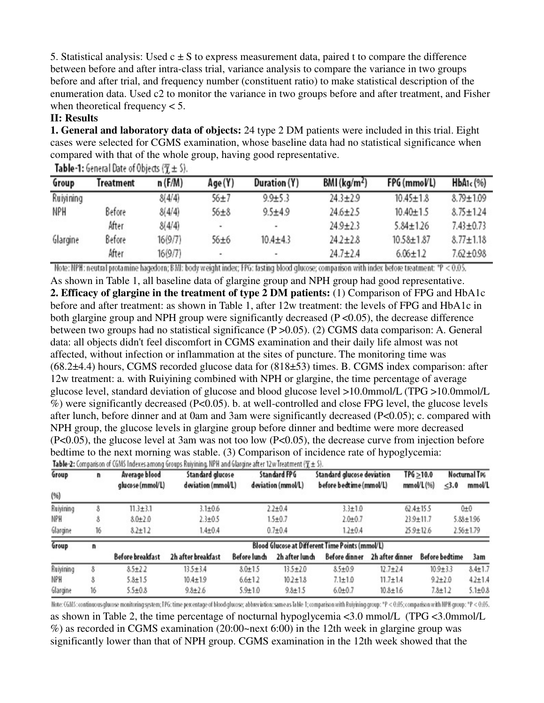5. Statistical analysis: Used  $c \pm S$  to express measurement data, paired t to compare the difference between before and after intra-class trial, variance analysis to compare the variance in two groups before and after trial, and frequency number (constituent ratio) to make statistical description of the enumeration data. Used c2 to monitor the variance in two groups before and after treatment, and Fisher when theoretical frequency  $< 5$ .

#### **II: Results**

**1. General and laboratory data of objects:** 24 type 2 DM patients were included in this trial. Eight cases were selected for CGMS examination, whose baseline data had no statistical significance when compared with that of the whole group, having good representative.

| Group     | <b>Treatment</b> | n(F/M)  | Age(Y)                       | Duration (Y) | $BMl$ (kg/m <sup>2</sup> ) | FPG (mmoVL)      | HbA1c(%)        |
|-----------|------------------|---------|------------------------------|--------------|----------------------------|------------------|-----------------|
| Ruiyining |                  | 8(4/4)  | $56 + 7$                     | $9.9 + 5.3$  | $24.3 \pm 2.9$             | $10.45 \pm 1.8$  | $8.79 \pm 1.09$ |
| NPH       | Before           | 8(4/4)  | $56 + 8$                     | $9.5 + 4.9$  | $24.6 \pm 2.5$             | $10.40 \pm 1.5$  | $8.75 \pm 1.24$ |
|           | After            | 8(4/4)  | $\qquad \qquad \blacksquare$ | ۰            | $24.9 \pm 2.3$             | $5.84 \pm 1.26$  | $7.43 \pm 0.73$ |
| Glargine  | Before           | 16(9/7) | 56±6                         | $10.4 + 4.3$ | $24.2 \pm 2.8$             | $10.58 \pm 1.87$ | $8.77 \pm 1.18$ |
|           | After            | 16(9/7) | ٠                            | ۰            | $24.7 + 2.4$               | $6.06 \pm 1.2$   | $7.62 \pm 0.98$ |

**Table-1:** General Date of Objects ( $\overline{\gamma} \pm S$ ).

Note: NPH: neutral protamine hagedorn; BMI: body weight index; FPG: fasting blood glucose; comparison with index before treatment: \*P < 0.05. As shown in Table 1, all baseline data of glargine group and NPH group had good representative. **2. Efficacy of glargine in the treatment of type 2 DM patients:** (1) Comparison of FPG and HbA1c before and after treatment: as shown in Table 1, after 12w treatment: the levels of FPG and HbA1c in both glargine group and NPH group were significantly decreased (P < 0.05), the decrease difference between two groups had no statistical significance (P >0.05). (2) CGMS data comparison: A. General data: all objects didn't feel discomfort in CGMS examination and their daily life almost was not affected, without infection or inflammation at the sites of puncture. The monitoring time was (68.2±4.4) hours, CGMS recorded glucose data for (818±53) times. B. CGMS index comparison: after 12w treatment: a. with Ruiyining combined with NPH or glargine, the time percentage of average glucose level, standard deviation of glucose and blood glucose level >10.0mmol/L (TPG >10.0mmol/L %) were significantly decreased (P<0.05). b. at well-controlled and close FPG level, the glucose levels after lunch, before dinner and at 0am and 3am were significantly decreased (P<0.05); c. compared with NPH group, the glucose levels in glargine group before dinner and bedtime were more decreased (P<0.05), the glucose level at 3am was not too low (P<0.05), the decrease curve from injection before bedtime to the next morning was stable. (3) Comparison of incidence rate of hypoglycemia:<br>Table 2: Comparison of CGMS Indexes among Groups Ruivining. NPH and Glargine after 12w Treatment ( $\overline{\tau}$  ± \$).

| Group     | n  | Average blood<br>glucose (mmol/L)               | Standard glucose<br>deviation (mmol/L) |               | Standard FPG<br>deviation (mmol/L) | Standard glucose deviation<br>before bedtime (mmol/L) |                 | TPG > 10.0<br>$mmol/L$ $(%)$ | Nocturnal TPG<br>mmol/L<br>< 3.0 |                 |  |
|-----------|----|-------------------------------------------------|----------------------------------------|---------------|------------------------------------|-------------------------------------------------------|-----------------|------------------------------|----------------------------------|-----------------|--|
| (%)       |    |                                                 |                                        |               |                                    |                                                       |                 |                              |                                  |                 |  |
| Ruiyining | 8  | $11.3 \pm 3.1$                                  | $3.1 \pm 0.6$                          |               | $2.2 + 0.4$                        |                                                       |                 | $62.4 \pm 15.5$              |                                  | $0+0$           |  |
| NPH       | 8  | $8.0 + 2.0$                                     | $2.3 \pm 0.5$                          |               | $1.5 \pm 0.7$<br>$2.0 + 0.7$       |                                                       |                 | $23.9 \pm 11.7$              |                                  | $5.88 \pm 1.96$ |  |
| Glargine  | 16 | $8.2 \pm 1.2$                                   | $1.4 \pm 0.4$                          | $0.7 + 0.4$   |                                    | $1.2 + 0.4$                                           |                 | $25.9 \pm 12.6$              |                                  | $2.56 \pm 1.79$ |  |
| Group     | n  | Blood Glucose at Different Time Points (mmol/L) |                                        |               |                                    |                                                       |                 |                              |                                  |                 |  |
|           |    | Before breakfast                                | 2h after breakfast                     | Before lunch  | 2h after lunch                     | <b>Before dinner</b>                                  | 2h after dinner |                              | <b>Before bedtime</b>            | 3am             |  |
| Ruiyining | 8  | $8.5 \pm 2.2$                                   | $13.5 \pm 3.4$                         | $8.0 + 1.5$   | $13.5 \pm 2.0$                     | $8.5 \pm 0.9$                                         | $12.7 \pm 2.4$  |                              | $10.9 + 3.3$                     | $8.4 \pm 1.7$   |  |
| NPH       | 8  | $5.8 + 1.5$                                     | $10.4 \pm 1.9$                         | $6.6 \pm 1.2$ | $10.2 + 1.8$                       | $7.1 \pm 1.0$                                         | $11.7 \pm 1.4$  |                              | $9.2 + 2.0$                      | $4.2 \pm 1.4$   |  |
| Glargine  | 16 | $5.5 \pm 0.8$                                   | $9.8 + 2.6$                            | $5.9 + 1.0$   | $9.8 + 1.5$                        | $6.0 + 0.7$                                           | $10.8 \pm 1.6$  |                              | $7.8 + 1.2$                      | $5.1{\pm}0.8$   |  |

Note: G6MS: continuous glucose monitoring system; TPG: time percentage of blood glucose; abbreviation: same as Table 1; comparison with Ruiyining group: \*P < 0.05; comparison with NPH group: \*P < 0.05. as shown in Table 2, the time percentage of nocturnal hypoglycemia <3.0 mmol/L (TPG <3.0mmol/L %) as recorded in CGMS examination (20:00~next 6:00) in the 12th week in glargine group was significantly lower than that of NPH group. CGMS examination in the 12th week showed that the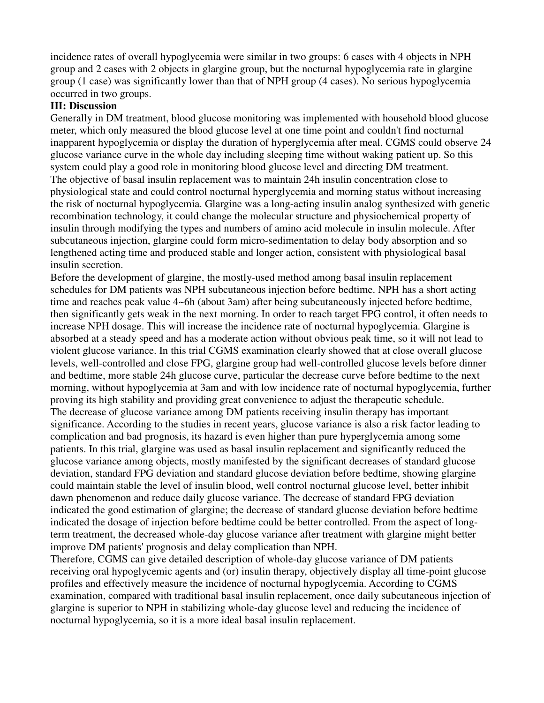incidence rates of overall hypoglycemia were similar in two groups: 6 cases with 4 objects in NPH group and 2 cases with 2 objects in glargine group, but the nocturnal hypoglycemia rate in glargine group (1 case) was significantly lower than that of NPH group (4 cases). No serious hypoglycemia occurred in two groups.

#### **III: Discussion**

Generally in DM treatment, blood glucose monitoring was implemented with household blood glucose meter, which only measured the blood glucose level at one time point and couldn't find nocturnal inapparent hypoglycemia or display the duration of hyperglycemia after meal. CGMS could observe 24 glucose variance curve in the whole day including sleeping time without waking patient up. So this system could play a good role in monitoring blood glucose level and directing DM treatment. The objective of basal insulin replacement was to maintain 24h insulin concentration close to physiological state and could control nocturnal hyperglycemia and morning status without increasing the risk of nocturnal hypoglycemia. Glargine was a long-acting insulin analog synthesized with genetic recombination technology, it could change the molecular structure and physiochemical property of insulin through modifying the types and numbers of amino acid molecule in insulin molecule. After subcutaneous injection, glargine could form micro-sedimentation to delay body absorption and so lengthened acting time and produced stable and longer action, consistent with physiological basal insulin secretion.

Before the development of glargine, the mostly-used method among basal insulin replacement schedules for DM patients was NPH subcutaneous injection before bedtime. NPH has a short acting time and reaches peak value 4~6h (about 3am) after being subcutaneously injected before bedtime, then significantly gets weak in the next morning. In order to reach target FPG control, it often needs to increase NPH dosage. This will increase the incidence rate of nocturnal hypoglycemia. Glargine is absorbed at a steady speed and has a moderate action without obvious peak time, so it will not lead to violent glucose variance. In this trial CGMS examination clearly showed that at close overall glucose levels, well-controlled and close FPG, glargine group had well-controlled glucose levels before dinner and bedtime, more stable 24h glucose curve, particular the decrease curve before bedtime to the next morning, without hypoglycemia at 3am and with low incidence rate of nocturnal hypoglycemia, further proving its high stability and providing great convenience to adjust the therapeutic schedule. The decrease of glucose variance among DM patients receiving insulin therapy has important significance. According to the studies in recent years, glucose variance is also a risk factor leading to complication and bad prognosis, its hazard is even higher than pure hyperglycemia among some patients. In this trial, glargine was used as basal insulin replacement and significantly reduced the glucose variance among objects, mostly manifested by the significant decreases of standard glucose deviation, standard FPG deviation and standard glucose deviation before bedtime, showing glargine could maintain stable the level of insulin blood, well control nocturnal glucose level, better inhibit dawn phenomenon and reduce daily glucose variance. The decrease of standard FPG deviation indicated the good estimation of glargine; the decrease of standard glucose deviation before bedtime indicated the dosage of injection before bedtime could be better controlled. From the aspect of longterm treatment, the decreased whole-day glucose variance after treatment with glargine might better improve DM patients' prognosis and delay complication than NPH.

Therefore, CGMS can give detailed description of whole-day glucose variance of DM patients receiving oral hypoglycemic agents and (or) insulin therapy, objectively display all time-point glucose profiles and effectively measure the incidence of nocturnal hypoglycemia. According to CGMS examination, compared with traditional basal insulin replacement, once daily subcutaneous injection of glargine is superior to NPH in stabilizing whole-day glucose level and reducing the incidence of nocturnal hypoglycemia, so it is a more ideal basal insulin replacement.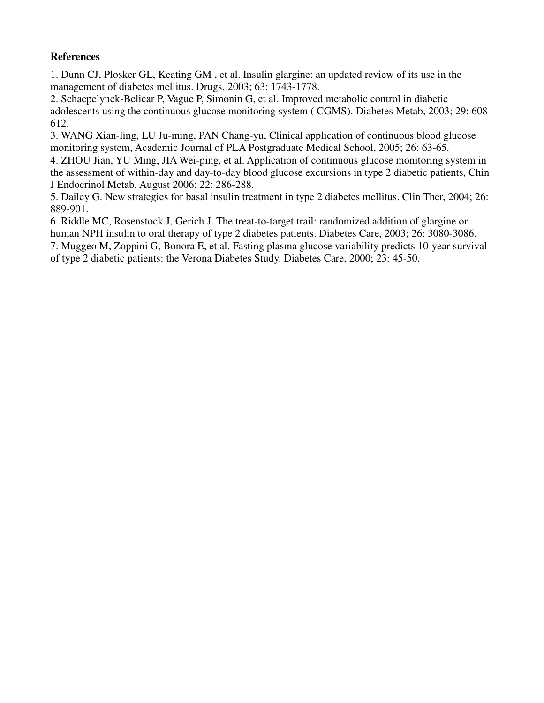### **References**

1. Dunn CJ, Plosker GL, Keating GM , et al. Insulin glargine: an updated review of its use in the management of diabetes mellitus. Drugs, 2003; 63: 1743-1778.

2. Schaepelynck-Belicar P, Vague P, Simonin G, et al. Improved metabolic control in diabetic adolescents using the continuous glucose monitoring system ( CGMS). Diabetes Metab, 2003; 29: 608- 612.

3. WANG Xian-ling, LU Ju-ming, PAN Chang-yu, Clinical application of continuous blood glucose monitoring system, Academic Journal of PLA Postgraduate Medical School, 2005; 26: 63-65.

4. ZHOU Jian, YU Ming, JIA Wei-ping, et al. Application of continuous glucose monitoring system in the assessment of within-day and day-to-day blood glucose excursions in type 2 diabetic patients, Chin J Endocrinol Metab, August 2006; 22: 286-288.

5. Dailey G. New strategies for basal insulin treatment in type 2 diabetes mellitus. Clin Ther, 2004; 26: 889-901.

6. Riddle MC, Rosenstock J, Gerich J. The treat-to-target trail: randomized addition of glargine or human NPH insulin to oral therapy of type 2 diabetes patients. Diabetes Care, 2003; 26: 3080-3086. 7. Muggeo M, Zoppini G, Bonora E, et al. Fasting plasma glucose variability predicts 10-year survival

of type 2 diabetic patients: the Verona Diabetes Study. Diabetes Care, 2000; 23: 45-50.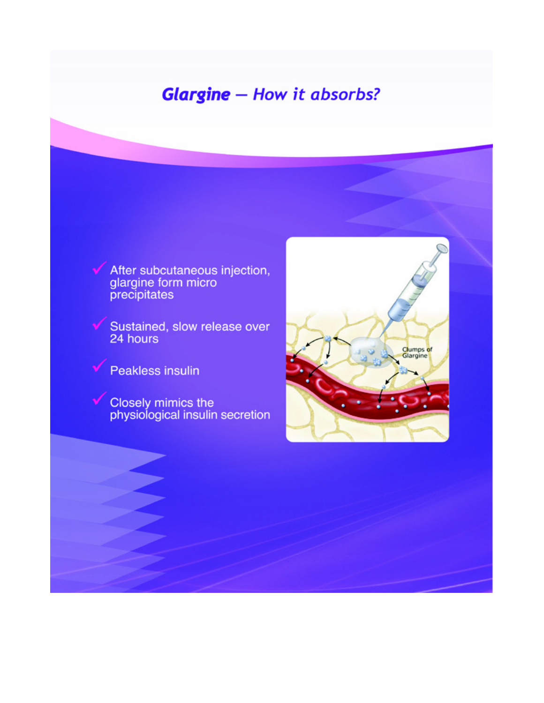# **Glargine** - How it absorbs?

After subcutaneous injection,<br>glargine form micro<br>precipitates

Sustained, slow release over<br>24 hours

Peakless insulin

Closely mimics the<br>physiological insulin secretion